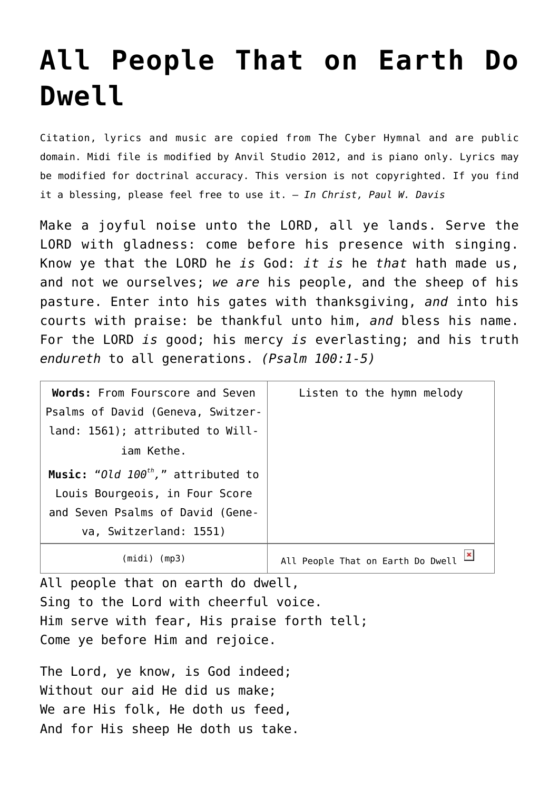## **[All People That on Earth Do](http://reproachofmen.org/hymns-and-music/all-people-that-on-earth-do-dwell/) [Dwell](http://reproachofmen.org/hymns-and-music/all-people-that-on-earth-do-dwell/)**

Citation, lyrics and music are copied from [The Cyber Hymnal](http://www.hymntime.com/tch/index.htm) and are public domain. Midi file is modified by Anvil Studio 2012, and is piano only. Lyrics may be modified for doctrinal accuracy. This version is not copyrighted. If you find it a blessing, please feel free to use it. — *In Christ, Paul W. Davis*

Make a joyful noise unto the LORD, all ye lands. Serve the LORD with gladness: come before his presence with singing. Know ye that the LORD he *is* God: *it is* he *that* hath made us, and not we ourselves; *we are* his people, and the sheep of his pasture. Enter into his gates with thanksgiving, *and* into his courts with praise: be thankful unto him, *and* bless his name. For the LORD *is* good; his mercy *is* everlasting; and his truth *endureth* to all generations. *(Psalm 100:1-5)*

| Words: From Fourscore and Seven         | Listen to the hymn melody         |
|-----------------------------------------|-----------------------------------|
| Psalms of David (Geneva, Switzer-       |                                   |
| land: 1561); attributed to Will-        |                                   |
| iam Kethe.                              |                                   |
| Music: "Old $100^{th}$ ," attributed to |                                   |
| Louis Bourgeois, in Four Score          |                                   |
| and Seven Psalms of David (Gene-        |                                   |
| va, Switzerland: 1551)                  |                                   |
| (midi) (mp3)                            | All People That on Earth Do Dwell |

All people that on earth do dwell, Sing to the Lord with cheerful voice. Him serve with fear, His praise forth tell; Come ye before Him and rejoice.

The Lord, ye know, is God indeed; Without our aid He did us make; We are His folk, He doth us feed, And for His sheep He doth us take.